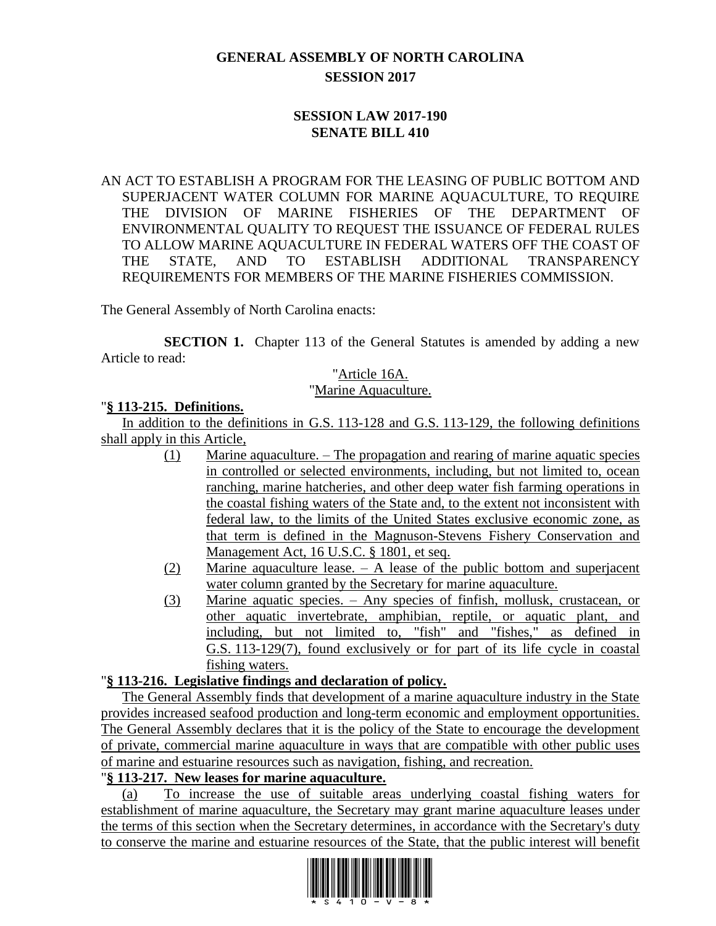# **GENERAL ASSEMBLY OF NORTH CAROLINA SESSION 2017**

### **SESSION LAW 2017-190 SENATE BILL 410**

AN ACT TO ESTABLISH A PROGRAM FOR THE LEASING OF PUBLIC BOTTOM AND SUPERJACENT WATER COLUMN FOR MARINE AQUACULTURE, TO REQUIRE THE DIVISION OF MARINE FISHERIES OF THE DEPARTMENT OF ENVIRONMENTAL QUALITY TO REQUEST THE ISSUANCE OF FEDERAL RULES TO ALLOW MARINE AQUACULTURE IN FEDERAL WATERS OFF THE COAST OF THE STATE, AND TO ESTABLISH ADDITIONAL TRANSPARENCY REQUIREMENTS FOR MEMBERS OF THE MARINE FISHERIES COMMISSION.

The General Assembly of North Carolina enacts:

**SECTION 1.** Chapter 113 of the General Statutes is amended by adding a new Article to read:

#### "Article 16A. "Marine Aquaculture.

### "**§ 113-215. Definitions.**

In addition to the definitions in G.S. 113-128 and G.S. 113-129, the following definitions shall apply in this Article,

- (1) Marine aquaculture. The propagation and rearing of marine aquatic species in controlled or selected environments, including, but not limited to, ocean ranching, marine hatcheries, and other deep water fish farming operations in the coastal fishing waters of the State and, to the extent not inconsistent with federal law, to the limits of the United States exclusive economic zone, as that term is defined in the Magnuson-Stevens Fishery Conservation and Management Act, 16 U.S.C. § 1801, et seq.
- (2) Marine aquaculture lease. A lease of the public bottom and superjacent water column granted by the Secretary for marine aquaculture.
- (3) Marine aquatic species. Any species of finfish, mollusk, crustacean, or other aquatic invertebrate, amphibian, reptile, or aquatic plant, and including, but not limited to, "fish" and "fishes," as defined in G.S. 113-129(7), found exclusively or for part of its life cycle in coastal fishing waters.

### "**§ 113-216. Legislative findings and declaration of policy.**

The General Assembly finds that development of a marine aquaculture industry in the State provides increased seafood production and long-term economic and employment opportunities. The General Assembly declares that it is the policy of the State to encourage the development of private, commercial marine aquaculture in ways that are compatible with other public uses of marine and estuarine resources such as navigation, fishing, and recreation.

## "**§ 113-217. New leases for marine aquaculture.**

(a) To increase the use of suitable areas underlying coastal fishing waters for establishment of marine aquaculture, the Secretary may grant marine aquaculture leases under the terms of this section when the Secretary determines, in accordance with the Secretary's duty to conserve the marine and estuarine resources of the State, that the public interest will benefit

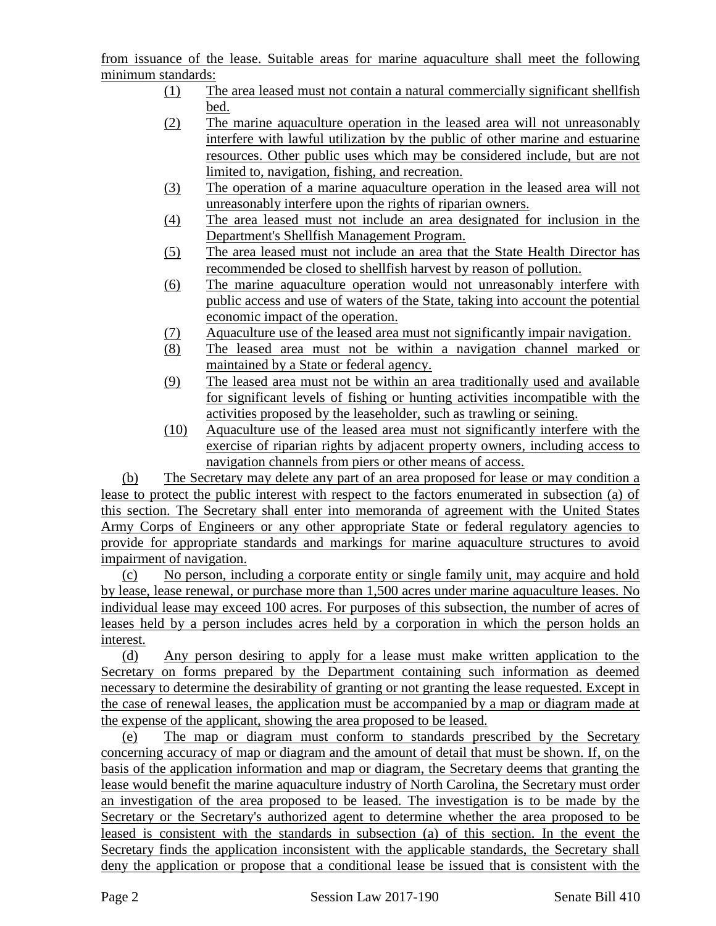from issuance of the lease. Suitable areas for marine aquaculture shall meet the following minimum standards:

- (1) The area leased must not contain a natural commercially significant shellfish bed.
- (2) The marine aquaculture operation in the leased area will not unreasonably interfere with lawful utilization by the public of other marine and estuarine resources. Other public uses which may be considered include, but are not limited to, navigation, fishing, and recreation.
- (3) The operation of a marine aquaculture operation in the leased area will not unreasonably interfere upon the rights of riparian owners.
- (4) The area leased must not include an area designated for inclusion in the Department's Shellfish Management Program.
- (5) The area leased must not include an area that the State Health Director has recommended be closed to shellfish harvest by reason of pollution.
- (6) The marine aquaculture operation would not unreasonably interfere with public access and use of waters of the State, taking into account the potential economic impact of the operation.
- (7) Aquaculture use of the leased area must not significantly impair navigation.
- (8) The leased area must not be within a navigation channel marked or maintained by a State or federal agency.
- (9) The leased area must not be within an area traditionally used and available for significant levels of fishing or hunting activities incompatible with the activities proposed by the leaseholder, such as trawling or seining.
- (10) Aquaculture use of the leased area must not significantly interfere with the exercise of riparian rights by adjacent property owners, including access to navigation channels from piers or other means of access.

(b) The Secretary may delete any part of an area proposed for lease or may condition a lease to protect the public interest with respect to the factors enumerated in subsection (a) of this section. The Secretary shall enter into memoranda of agreement with the United States Army Corps of Engineers or any other appropriate State or federal regulatory agencies to provide for appropriate standards and markings for marine aquaculture structures to avoid impairment of navigation.

(c) No person, including a corporate entity or single family unit, may acquire and hold by lease, lease renewal, or purchase more than 1,500 acres under marine aquaculture leases. No individual lease may exceed 100 acres. For purposes of this subsection, the number of acres of leases held by a person includes acres held by a corporation in which the person holds an interest.

(d) Any person desiring to apply for a lease must make written application to the Secretary on forms prepared by the Department containing such information as deemed necessary to determine the desirability of granting or not granting the lease requested. Except in the case of renewal leases, the application must be accompanied by a map or diagram made at the expense of the applicant, showing the area proposed to be leased.

(e) The map or diagram must conform to standards prescribed by the Secretary concerning accuracy of map or diagram and the amount of detail that must be shown. If, on the basis of the application information and map or diagram, the Secretary deems that granting the lease would benefit the marine aquaculture industry of North Carolina, the Secretary must order an investigation of the area proposed to be leased. The investigation is to be made by the Secretary or the Secretary's authorized agent to determine whether the area proposed to be leased is consistent with the standards in subsection (a) of this section. In the event the Secretary finds the application inconsistent with the applicable standards, the Secretary shall deny the application or propose that a conditional lease be issued that is consistent with the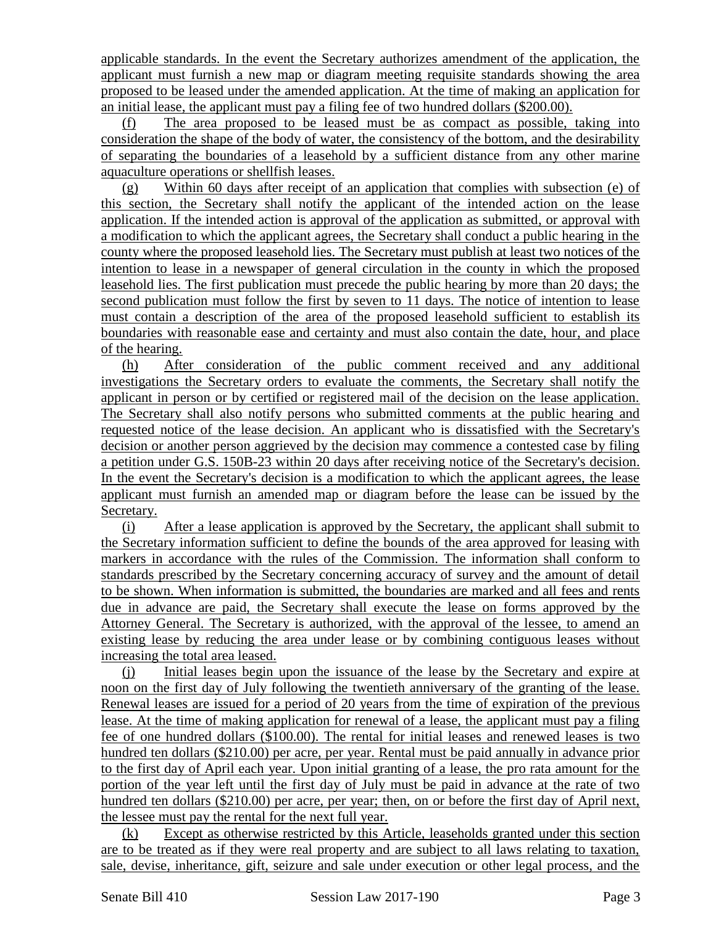applicable standards. In the event the Secretary authorizes amendment of the application, the applicant must furnish a new map or diagram meeting requisite standards showing the area proposed to be leased under the amended application. At the time of making an application for an initial lease, the applicant must pay a filing fee of two hundred dollars (\$200.00).

(f) The area proposed to be leased must be as compact as possible, taking into consideration the shape of the body of water, the consistency of the bottom, and the desirability of separating the boundaries of a leasehold by a sufficient distance from any other marine aquaculture operations or shellfish leases.

(g) Within 60 days after receipt of an application that complies with subsection (e) of this section, the Secretary shall notify the applicant of the intended action on the lease application. If the intended action is approval of the application as submitted, or approval with a modification to which the applicant agrees, the Secretary shall conduct a public hearing in the county where the proposed leasehold lies. The Secretary must publish at least two notices of the intention to lease in a newspaper of general circulation in the county in which the proposed leasehold lies. The first publication must precede the public hearing by more than 20 days; the second publication must follow the first by seven to 11 days. The notice of intention to lease must contain a description of the area of the proposed leasehold sufficient to establish its boundaries with reasonable ease and certainty and must also contain the date, hour, and place of the hearing.

(h) After consideration of the public comment received and any additional investigations the Secretary orders to evaluate the comments, the Secretary shall notify the applicant in person or by certified or registered mail of the decision on the lease application. The Secretary shall also notify persons who submitted comments at the public hearing and requested notice of the lease decision. An applicant who is dissatisfied with the Secretary's decision or another person aggrieved by the decision may commence a contested case by filing a petition under G.S. 150B-23 within 20 days after receiving notice of the Secretary's decision. In the event the Secretary's decision is a modification to which the applicant agrees, the lease applicant must furnish an amended map or diagram before the lease can be issued by the Secretary.

(i) After a lease application is approved by the Secretary, the applicant shall submit to the Secretary information sufficient to define the bounds of the area approved for leasing with markers in accordance with the rules of the Commission. The information shall conform to standards prescribed by the Secretary concerning accuracy of survey and the amount of detail to be shown. When information is submitted, the boundaries are marked and all fees and rents due in advance are paid, the Secretary shall execute the lease on forms approved by the Attorney General. The Secretary is authorized, with the approval of the lessee, to amend an existing lease by reducing the area under lease or by combining contiguous leases without increasing the total area leased.

(j) Initial leases begin upon the issuance of the lease by the Secretary and expire at noon on the first day of July following the twentieth anniversary of the granting of the lease. Renewal leases are issued for a period of 20 years from the time of expiration of the previous lease. At the time of making application for renewal of a lease, the applicant must pay a filing fee of one hundred dollars (\$100.00). The rental for initial leases and renewed leases is two hundred ten dollars (\$210.00) per acre, per year. Rental must be paid annually in advance prior to the first day of April each year. Upon initial granting of a lease, the pro rata amount for the portion of the year left until the first day of July must be paid in advance at the rate of two hundred ten dollars (\$210.00) per acre, per year; then, on or before the first day of April next, the lessee must pay the rental for the next full year.

(k) Except as otherwise restricted by this Article, leaseholds granted under this section are to be treated as if they were real property and are subject to all laws relating to taxation, sale, devise, inheritance, gift, seizure and sale under execution or other legal process, and the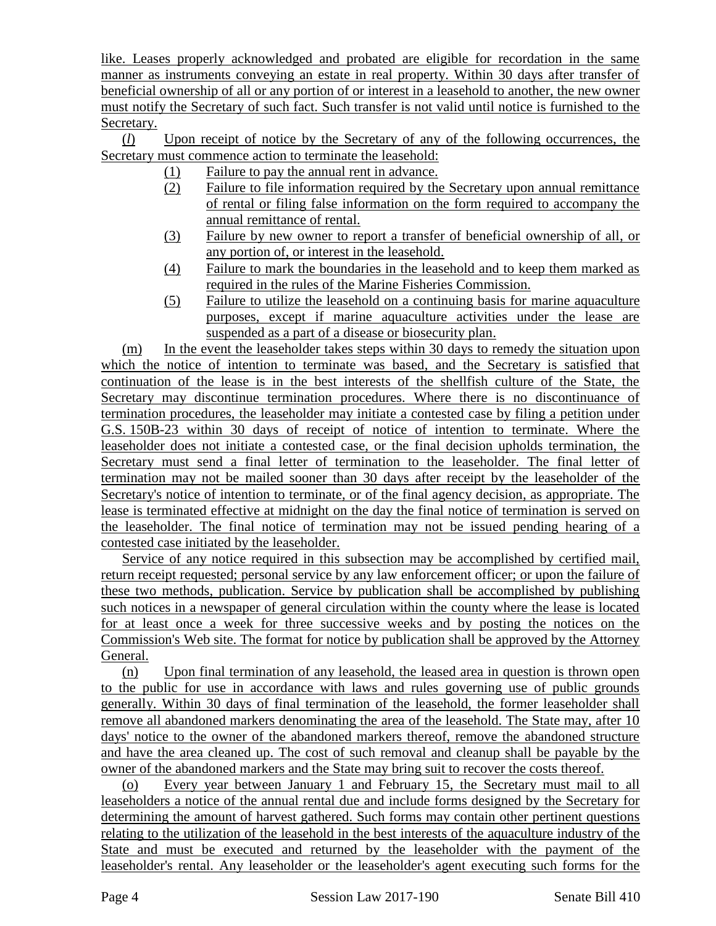like. Leases properly acknowledged and probated are eligible for recordation in the same manner as instruments conveying an estate in real property. Within 30 days after transfer of beneficial ownership of all or any portion of or interest in a leasehold to another, the new owner must notify the Secretary of such fact. Such transfer is not valid until notice is furnished to the Secretary.

(*l*) Upon receipt of notice by the Secretary of any of the following occurrences, the Secretary must commence action to terminate the leasehold:

- (1) Failure to pay the annual rent in advance.
- (2) Failure to file information required by the Secretary upon annual remittance of rental or filing false information on the form required to accompany the annual remittance of rental.
- (3) Failure by new owner to report a transfer of beneficial ownership of all, or any portion of, or interest in the leasehold.
- (4) Failure to mark the boundaries in the leasehold and to keep them marked as required in the rules of the Marine Fisheries Commission.
- (5) Failure to utilize the leasehold on a continuing basis for marine aquaculture purposes, except if marine aquaculture activities under the lease are suspended as a part of a disease or biosecurity plan.

(m) In the event the leaseholder takes steps within 30 days to remedy the situation upon which the notice of intention to terminate was based, and the Secretary is satisfied that continuation of the lease is in the best interests of the shellfish culture of the State, the Secretary may discontinue termination procedures. Where there is no discontinuance of termination procedures, the leaseholder may initiate a contested case by filing a petition under G.S. 150B-23 within 30 days of receipt of notice of intention to terminate. Where the leaseholder does not initiate a contested case, or the final decision upholds termination, the Secretary must send a final letter of termination to the leaseholder. The final letter of termination may not be mailed sooner than 30 days after receipt by the leaseholder of the Secretary's notice of intention to terminate, or of the final agency decision, as appropriate. The lease is terminated effective at midnight on the day the final notice of termination is served on the leaseholder. The final notice of termination may not be issued pending hearing of a contested case initiated by the leaseholder.

Service of any notice required in this subsection may be accomplished by certified mail, return receipt requested; personal service by any law enforcement officer; or upon the failure of these two methods, publication. Service by publication shall be accomplished by publishing such notices in a newspaper of general circulation within the county where the lease is located for at least once a week for three successive weeks and by posting the notices on the Commission's Web site. The format for notice by publication shall be approved by the Attorney General.

(n) Upon final termination of any leasehold, the leased area in question is thrown open to the public for use in accordance with laws and rules governing use of public grounds generally. Within 30 days of final termination of the leasehold, the former leaseholder shall remove all abandoned markers denominating the area of the leasehold. The State may, after 10 days' notice to the owner of the abandoned markers thereof, remove the abandoned structure and have the area cleaned up. The cost of such removal and cleanup shall be payable by the owner of the abandoned markers and the State may bring suit to recover the costs thereof.

(o) Every year between January 1 and February 15, the Secretary must mail to all leaseholders a notice of the annual rental due and include forms designed by the Secretary for determining the amount of harvest gathered. Such forms may contain other pertinent questions relating to the utilization of the leasehold in the best interests of the aquaculture industry of the State and must be executed and returned by the leaseholder with the payment of the leaseholder's rental. Any leaseholder or the leaseholder's agent executing such forms for the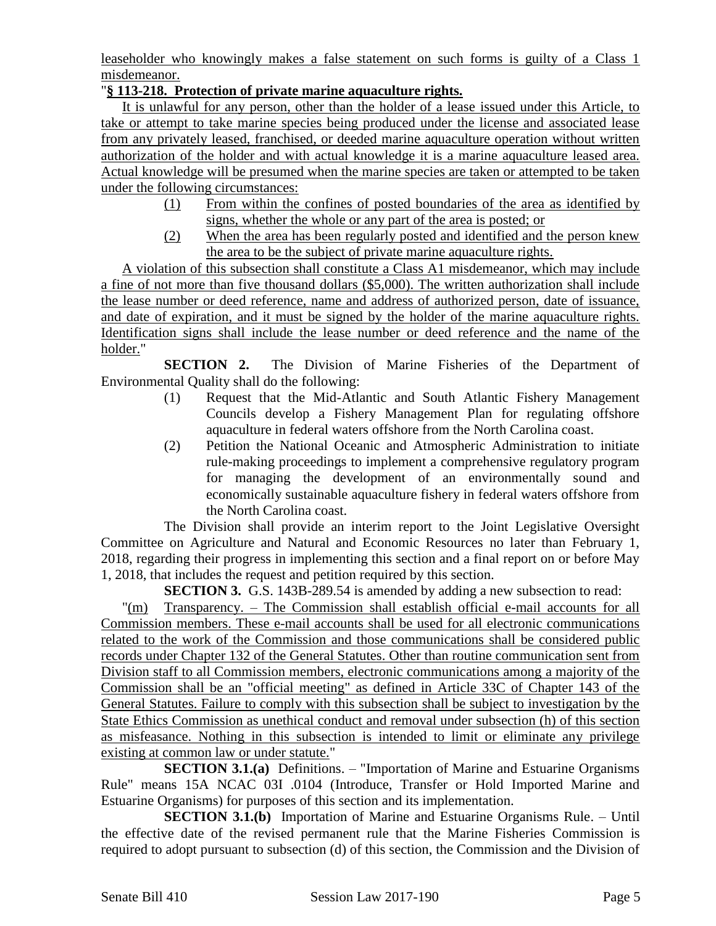leaseholder who knowingly makes a false statement on such forms is guilty of a Class 1 misdemeanor.

### "**§ 113-218. Protection of private marine aquaculture rights.**

It is unlawful for any person, other than the holder of a lease issued under this Article, to take or attempt to take marine species being produced under the license and associated lease from any privately leased, franchised, or deeded marine aquaculture operation without written authorization of the holder and with actual knowledge it is a marine aquaculture leased area. Actual knowledge will be presumed when the marine species are taken or attempted to be taken under the following circumstances:

- (1) From within the confines of posted boundaries of the area as identified by signs, whether the whole or any part of the area is posted; or
- (2) When the area has been regularly posted and identified and the person knew the area to be the subject of private marine aquaculture rights.

A violation of this subsection shall constitute a Class A1 misdemeanor, which may include a fine of not more than five thousand dollars (\$5,000). The written authorization shall include the lease number or deed reference, name and address of authorized person, date of issuance, and date of expiration, and it must be signed by the holder of the marine aquaculture rights. Identification signs shall include the lease number or deed reference and the name of the holder."

**SECTION 2.** The Division of Marine Fisheries of the Department of Environmental Quality shall do the following:

- (1) Request that the Mid-Atlantic and South Atlantic Fishery Management Councils develop a Fishery Management Plan for regulating offshore aquaculture in federal waters offshore from the North Carolina coast.
- (2) Petition the National Oceanic and Atmospheric Administration to initiate rule-making proceedings to implement a comprehensive regulatory program for managing the development of an environmentally sound and economically sustainable aquaculture fishery in federal waters offshore from the North Carolina coast.

The Division shall provide an interim report to the Joint Legislative Oversight Committee on Agriculture and Natural and Economic Resources no later than February 1, 2018, regarding their progress in implementing this section and a final report on or before May 1, 2018, that includes the request and petition required by this section.

**SECTION 3.** G.S. 143B-289.54 is amended by adding a new subsection to read:

"(m) Transparency. – The Commission shall establish official e-mail accounts for all Commission members. These e-mail accounts shall be used for all electronic communications related to the work of the Commission and those communications shall be considered public records under Chapter 132 of the General Statutes. Other than routine communication sent from Division staff to all Commission members, electronic communications among a majority of the Commission shall be an "official meeting" as defined in Article 33C of Chapter 143 of the General Statutes. Failure to comply with this subsection shall be subject to investigation by the State Ethics Commission as unethical conduct and removal under subsection (h) of this section as misfeasance. Nothing in this subsection is intended to limit or eliminate any privilege existing at common law or under statute."

**SECTION 3.1.(a)** Definitions. – "Importation of Marine and Estuarine Organisms Rule" means 15A NCAC 03I .0104 (Introduce, Transfer or Hold Imported Marine and Estuarine Organisms) for purposes of this section and its implementation.

**SECTION 3.1.(b)** Importation of Marine and Estuarine Organisms Rule. – Until the effective date of the revised permanent rule that the Marine Fisheries Commission is required to adopt pursuant to subsection (d) of this section, the Commission and the Division of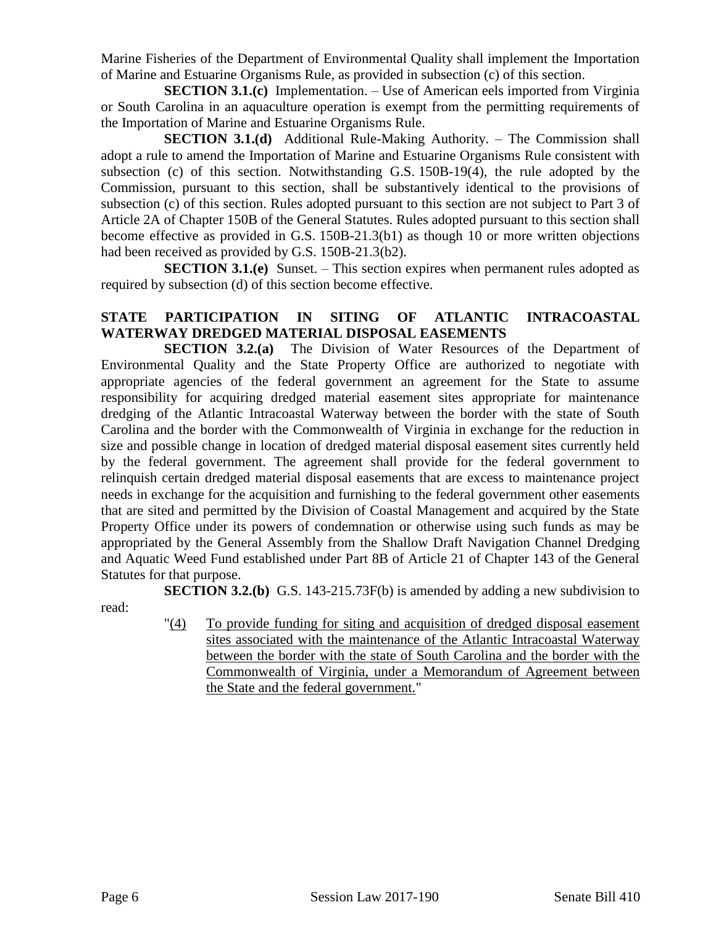Marine Fisheries of the Department of Environmental Quality shall implement the Importation of Marine and Estuarine Organisms Rule, as provided in subsection (c) of this section.

**SECTION 3.1.(c)** Implementation. – Use of American eels imported from Virginia or South Carolina in an aquaculture operation is exempt from the permitting requirements of the Importation of Marine and Estuarine Organisms Rule.

**SECTION 3.1.(d)** Additional Rule-Making Authority. – The Commission shall adopt a rule to amend the Importation of Marine and Estuarine Organisms Rule consistent with subsection (c) of this section. Notwithstanding G.S. 150B-19(4), the rule adopted by the Commission, pursuant to this section, shall be substantively identical to the provisions of subsection (c) of this section. Rules adopted pursuant to this section are not subject to Part 3 of Article 2A of Chapter 150B of the General Statutes. Rules adopted pursuant to this section shall become effective as provided in G.S. 150B-21.3(b1) as though 10 or more written objections had been received as provided by G.S. 150B-21.3(b2).

**SECTION 3.1.(e)** Sunset. – This section expires when permanent rules adopted as required by subsection (d) of this section become effective.

#### **STATE PARTICIPATION IN SITING OF ATLANTIC INTRACOASTAL WATERWAY DREDGED MATERIAL DISPOSAL EASEMENTS**

**SECTION 3.2.(a)** The Division of Water Resources of the Department of Environmental Quality and the State Property Office are authorized to negotiate with appropriate agencies of the federal government an agreement for the State to assume responsibility for acquiring dredged material easement sites appropriate for maintenance dredging of the Atlantic Intracoastal Waterway between the border with the state of South Carolina and the border with the Commonwealth of Virginia in exchange for the reduction in size and possible change in location of dredged material disposal easement sites currently held by the federal government. The agreement shall provide for the federal government to relinquish certain dredged material disposal easements that are excess to maintenance project needs in exchange for the acquisition and furnishing to the federal government other easements that are sited and permitted by the Division of Coastal Management and acquired by the State Property Office under its powers of condemnation or otherwise using such funds as may be appropriated by the General Assembly from the Shallow Draft Navigation Channel Dredging and Aquatic Weed Fund established under Part 8B of Article 21 of Chapter 143 of the General Statutes for that purpose.

**SECTION 3.2.(b)** G.S. 143-215.73F(b) is amended by adding a new subdivision to read:

> "(4) To provide funding for siting and acquisition of dredged disposal easement sites associated with the maintenance of the Atlantic Intracoastal Waterway between the border with the state of South Carolina and the border with the Commonwealth of Virginia, under a Memorandum of Agreement between the State and the federal government."